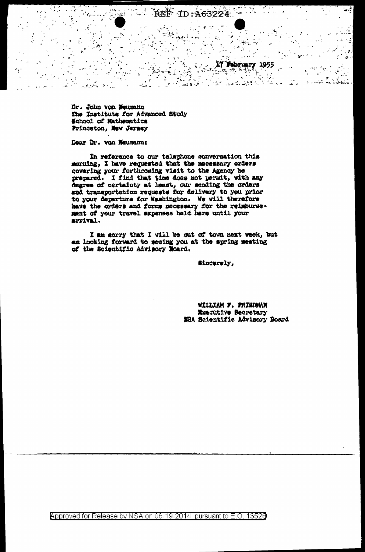REF ID: A63224 an ti tu.<br>Se  $\Delta$ 

 $\frac{1}{2}$ 

 $\Delta$ یکو م  $\sim$   $\mu$  $\mathcal{V}_{\mathcal{S}^{\text{in}}}$  $\frac{1}{2} \sum_{i=1}^n \frac{1}{i} \frac{1}{i}$ 

 $\zeta_{\rm c}$ 

 $\epsilon_{\rm max}$ 

 $\cdot$ 

تواريخ ليبين

می -

 $\mathcal{L}$  $\frac{1}{2}$ 

 $\leq \epsilon$ 

 $\overline{a}$ 

17 February 1955

أبرقهون والواليل

 $\mathcal{L}^{\pm}$ 

 $\mathcal{H}_{\mathcal{L}}$  .

 $\mathcal{V} \subseteq \mathcal{L}$  .

 $\mathbb{R}^n$ 

 $\epsilon_{\rm{m}}\sim\omega$ 

 $\sigma_{\rm{eff}}$  .

A LIST

 $\sim 10$ 

 $\mathcal{L}$ 

Dr. John von Weumann The Institute for Advanced Study School of Mathematics Princeton, New Jersey

Dear Dr. von Neumann:

ان<br>المتركة التي

In reference to our telephone conversation this morning, I have requested that the necessary orders covering your forthcoming visit to the Agency be prepared. I find that time does not permit, with any degree of certainty at least, our sending the orders and transportation requests for delivery to you prior to your departure for Washington. We will therefore have the orders and forms necessary for the reimbursement of your travel expenses hald hare until your arrival.

I am sorry that I will be out of town next week, but an looking forward to seeing you at the spring meeting of the Scientific Advisory Board.

#incerely,

WILLIAM F. FRIEDMAN **Executive Secretary** NSA Scientific Advisory Board

Approved for Release by NSA on 06-19-2014 pursuant to E.O. 13526